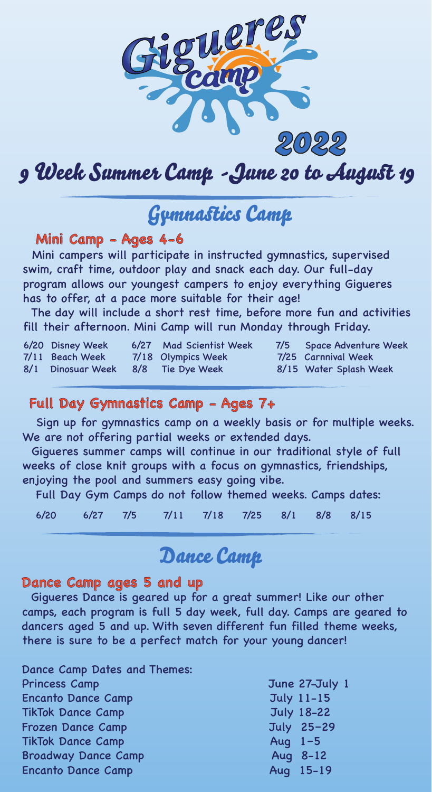

# 9 Week Summer Camp *-* June 20 to August 19

## **Gymnastics Camp**

#### **Mini Camp - Ages 4-6**

 Mini campers will participate in instructed gymnastics, supervised swim, craft time, outdoor play and snack each day. Our full-day program allows our youngest campers to enjoy everything Gigueres has to offer, at a pace more suitable for their age!

 The day will include a short rest time, before more fun and activities fill their afternoon. Mini Camp will run Monday through Friday.

| 6/20 Disney Week                   | 6/27 Mad Scientist Week | 7/5 Space Adventure Week |
|------------------------------------|-------------------------|--------------------------|
| 7/11 Beach Week                    | 7/18 Olympics Week      | 7/25 Carnnival Week      |
| 8/1 Dinosuar Week 8/8 Tie Dye Week |                         | 8/15 Water Splash Week   |

#### **Full Day Gymnastics Camp - Ages 7+**

 Sign up for gymnastics camp on a weekly basis or for multiple weeks. We are not offering partial weeks or extended days.

 Gigueres summer camps will continue in our traditional style of full weeks of close knit groups with a focus on gymnastics, friendships, enjoying the pool and summers easy going vibe.

Full Day Gym Camps do not follow themed weeks. Camps dates:

6/20 6/27 7/5 7/11 7/18 7/25 8/1 8/8 8/15

### Dance Camp

#### **Dance Camp ages 5 and up**

 Gigueres Dance is geared up for a great summer! Like our other camps, each program is full 5 day week, full day. Camps are geared to dancers aged 5 and up. With seven different fun filled theme weeks, there is sure to be a perfect match for your young dancer!

| Dance Camp Dates and Themes: |                   |
|------------------------------|-------------------|
| <b>Princess Camp</b>         | June 27-July 1    |
| <b>Encanto Dance Camp</b>    | <b>July 11-15</b> |
| <b>TikTok Dance Camp</b>     | <b>July 18-22</b> |
| <b>Frozen Dance Camp</b>     | July 25-29        |
| <b>TikTok Dance Camp</b>     | Aug $1-5$         |
| <b>Broadway Dance Camp</b>   | Aug 8-12          |
| <b>Encanto Dance Camp</b>    | Aug 15-19         |